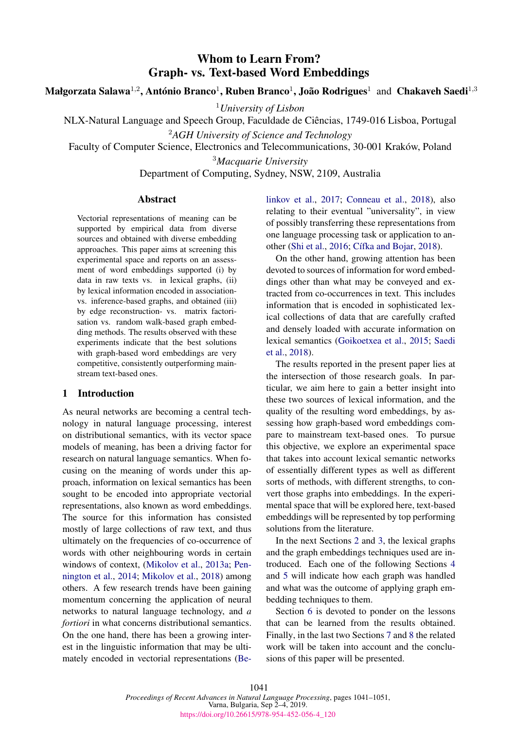# Whom to Learn From? Graph- vs. Text-based Word Embeddings

Małgorzata Salawa $^{1,2}$ , António Branco $^{1}$ , Ruben Branco $^{1}$ , João Rodrigues $^{1}$  and Chakaveh Saedi $^{1,3}$ 

<sup>1</sup>*University of Lisbon*

NLX-Natural Language and Speech Group, Faculdade de Ciencias, 1749-016 Lisboa, Portugal ˆ

<sup>2</sup>*AGH University of Science and Technology*

Faculty of Computer Science, Electronics and Telecommunications, 30-001 Kraków, Poland

<sup>3</sup>*Macquarie University*

Department of Computing, Sydney, NSW, 2109, Australia

## Abstract

Vectorial representations of meaning can be supported by empirical data from diverse sources and obtained with diverse embedding approaches. This paper aims at screening this experimental space and reports on an assessment of word embeddings supported (i) by data in raw texts vs. in lexical graphs, (ii) by lexical information encoded in associationvs. inference-based graphs, and obtained (iii) by edge reconstruction- vs. matrix factorisation vs. random walk-based graph embedding methods. The results observed with these experiments indicate that the best solutions with graph-based word embeddings are very competitive, consistently outperforming mainstream text-based ones.

# 1 Introduction

As neural networks are becoming a central technology in natural language processing, interest on distributional semantics, with its vector space models of meaning, has been a driving factor for research on natural language semantics. When focusing on the meaning of words under this approach, information on lexical semantics has been sought to be encoded into appropriate vectorial representations, also known as word embeddings. The source for this information has consisted mostly of large collections of raw text, and thus ultimately on the frequencies of co-occurrence of words with other neighbouring words in certain windows of context, [\(Mikolov et al.,](#page-9-0) [2013a;](#page-9-0) [Pen](#page-9-1)[nington et al.,](#page-9-1) [2014;](#page-9-1) [Mikolov et al.,](#page-9-2) [2018\)](#page-9-2) among others. A few research trends have been gaining momentum concerning the application of neural networks to natural language technology, and *a fortiori* in what concerns distributional semantics. On the one hand, there has been a growing interest in the linguistic information that may be ultimately encoded in vectorial representations [\(Be-](#page-8-0) [linkov et al.,](#page-8-0) [2017;](#page-8-0) [Conneau et al.,](#page-8-1) [2018\)](#page-8-1), also relating to their eventual "universality", in view of possibly transferring these representations from one language processing task or application to an-other [\(Shi et al.,](#page-10-0) [2016;](#page-10-0) Cífka and Bojar, [2018\)](#page-8-2).

On the other hand, growing attention has been devoted to sources of information for word embeddings other than what may be conveyed and extracted from co-occurrences in text. This includes information that is encoded in sophisticated lexical collections of data that are carefully crafted and densely loaded with accurate information on lexical semantics [\(Goikoetxea et al.,](#page-8-3) [2015;](#page-8-3) [Saedi](#page-9-3) [et al.,](#page-9-3) [2018\)](#page-9-3).

The results reported in the present paper lies at the intersection of those research goals. In particular, we aim here to gain a better insight into these two sources of lexical information, and the quality of the resulting word embeddings, by assessing how graph-based word embeddings compare to mainstream text-based ones. To pursue this objective, we explore an experimental space that takes into account lexical semantic networks of essentially different types as well as different sorts of methods, with different strengths, to convert those graphs into embeddings. In the experimental space that will be explored here, text-based embeddings will be represented by top performing solutions from the literature.

In the next Sections [2](#page-1-0) and [3,](#page-1-1) the lexical graphs and the graph embeddings techniques used are introduced. Each one of the following Sections [4](#page-2-0) and [5](#page-4-0) will indicate how each graph was handled and what was the outcome of applying graph embedding techniques to them.

Section [6](#page-5-0) is devoted to ponder on the lessons that can be learned from the results obtained. Finally, in the last two Sections [7](#page-7-0) and [8](#page-7-1) the related work will be taken into account and the conclusions of this paper will be presented.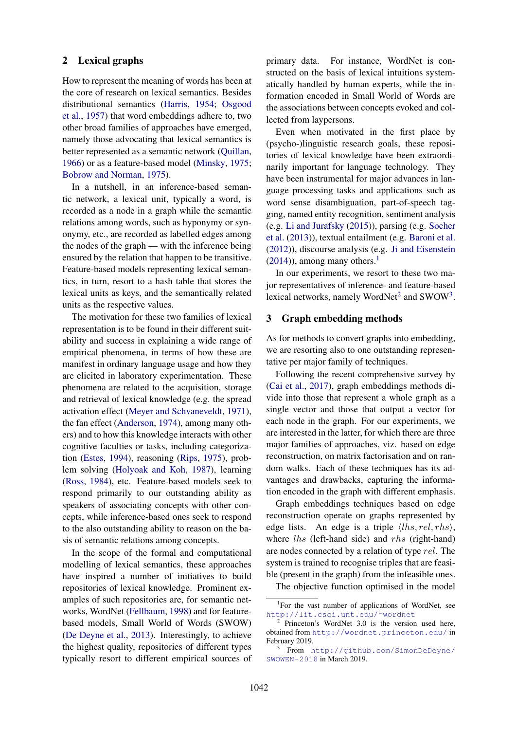## <span id="page-1-0"></span>2 Lexical graphs

How to represent the meaning of words has been at the core of research on lexical semantics. Besides distributional semantics [\(Harris,](#page-9-4) [1954;](#page-9-4) [Osgood](#page-9-5) [et al.,](#page-9-5) [1957\)](#page-9-5) that word embeddings adhere to, two other broad families of approaches have emerged, namely those advocating that lexical semantics is better represented as a semantic network [\(Quillan,](#page-9-6) [1966\)](#page-9-6) or as a feature-based model [\(Minsky,](#page-9-7) [1975;](#page-9-7) [Bobrow and Norman,](#page-8-4) [1975\)](#page-8-4).

In a nutshell, in an inference-based semantic network, a lexical unit, typically a word, is recorded as a node in a graph while the semantic relations among words, such as hyponymy or synonymy, etc., are recorded as labelled edges among the nodes of the graph — with the inference being ensured by the relation that happen to be transitive. Feature-based models representing lexical semantics, in turn, resort to a hash table that stores the lexical units as keys, and the semantically related units as the respective values.

The motivation for these two families of lexical representation is to be found in their different suitability and success in explaining a wide range of empirical phenomena, in terms of how these are manifest in ordinary language usage and how they are elicited in laboratory experimentation. These phenomena are related to the acquisition, storage and retrieval of lexical knowledge (e.g. the spread activation effect [\(Meyer and Schvaneveldt,](#page-9-8) [1971\)](#page-9-8), the fan effect [\(Anderson,](#page-8-5) [1974\)](#page-8-5), among many others) and to how this knowledge interacts with other cognitive faculties or tasks, including categorization [\(Estes,](#page-8-6) [1994\)](#page-8-6), reasoning [\(Rips,](#page-9-9) [1975\)](#page-9-9), problem solving [\(Holyoak and Koh,](#page-9-10) [1987\)](#page-9-10), learning [\(Ross,](#page-9-11) [1984\)](#page-9-11), etc. Feature-based models seek to respond primarily to our outstanding ability as speakers of associating concepts with other concepts, while inference-based ones seek to respond to the also outstanding ability to reason on the basis of semantic relations among concepts.

In the scope of the formal and computational modelling of lexical semantics, these approaches have inspired a number of initiatives to build repositories of lexical knowledge. Prominent examples of such repositories are, for semantic networks, WordNet [\(Fellbaum,](#page-8-7) [1998\)](#page-8-7) and for featurebased models, Small World of Words (SWOW) [\(De Deyne et al.,](#page-8-8) [2013\)](#page-8-8). Interestingly, to achieve the highest quality, repositories of different types typically resort to different empirical sources of primary data. For instance, WordNet is constructed on the basis of lexical intuitions systematically handled by human experts, while the information encoded in Small World of Words are the associations between concepts evoked and collected from laypersons.

Even when motivated in the first place by (psycho-)linguistic research goals, these repositories of lexical knowledge have been extraordinarily important for language technology. They have been instrumental for major advances in language processing tasks and applications such as word sense disambiguation, part-of-speech tagging, named entity recognition, sentiment analysis (e.g. [Li and Jurafsky](#page-9-12) [\(2015\)](#page-9-12)), parsing (e.g. [Socher](#page-10-1) [et al.](#page-10-1) [\(2013\)](#page-10-1)), textual entailment (e.g. [Baroni et al.](#page-8-9) [\(2012\)](#page-8-9)), discourse analysis (e.g. [Ji and Eisenstein](#page-9-13)  $(2014)$ ), among many others.<sup>[1](#page-1-2)</sup>

In our experiments, we resort to these two major representatives of inference- and feature-based lexical networks, namely WordNet<sup>[2](#page-1-3)</sup> and SWOW<sup>[3](#page-1-4)</sup>.

## <span id="page-1-1"></span>3 Graph embedding methods

As for methods to convert graphs into embedding, we are resorting also to one outstanding representative per major family of techniques.

Following the recent comprehensive survey by [\(Cai et al.,](#page-8-10) [2017\)](#page-8-10), graph embeddings methods divide into those that represent a whole graph as a single vector and those that output a vector for each node in the graph. For our experiments, we are interested in the latter, for which there are three major families of approaches, viz. based on edge reconstruction, on matrix factorisation and on random walks. Each of these techniques has its advantages and drawbacks, capturing the information encoded in the graph with different emphasis.

Graph embeddings techniques based on edge reconstruction operate on graphs represented by edge lists. An edge is a triple  $\langle$ lhs, rel, rhs), where  $\ln s$  (left-hand side) and  $\ln s$  (right-hand) are nodes connected by a relation of type rel. The system is trained to recognise triples that are feasible (present in the graph) from the infeasible ones.

The objective function optimised in the model

<span id="page-1-2"></span><sup>&</sup>lt;sup>1</sup>For the vast number of applications of WordNet, see [http://lit.csci.unt.edu/˜wordnet](http://lit.csci.unt.edu/~wordnet)

<span id="page-1-3"></span><sup>2</sup> Princeton's WordNet 3.0 is the version used here, obtained from <http://wordnet.princeton.edu/> in February 2019.

<span id="page-1-4"></span><sup>3</sup> From [http://github.com/SimonDeDeyne/](http://github.com/SimonDeDeyne/SWOWEN-2018) [SWOWEN-2018](http://github.com/SimonDeDeyne/SWOWEN-2018) in March 2019.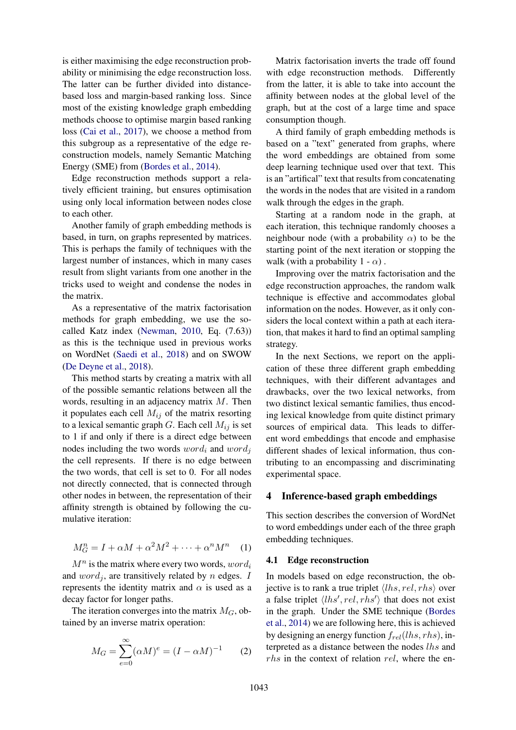is either maximising the edge reconstruction probability or minimising the edge reconstruction loss. The latter can be further divided into distancebased loss and margin-based ranking loss. Since most of the existing knowledge graph embedding methods choose to optimise margin based ranking loss [\(Cai et al.,](#page-8-10) [2017\)](#page-8-10), we choose a method from this subgroup as a representative of the edge reconstruction models, namely Semantic Matching Energy (SME) from [\(Bordes et al.,](#page-8-11) [2014\)](#page-8-11).

Edge reconstruction methods support a relatively efficient training, but ensures optimisation using only local information between nodes close to each other.

Another family of graph embedding methods is based, in turn, on graphs represented by matrices. This is perhaps the family of techniques with the largest number of instances, which in many cases result from slight variants from one another in the tricks used to weight and condense the nodes in the matrix.

As a representative of the matrix factorisation methods for graph embedding, we use the socalled Katz index [\(Newman,](#page-9-14) [2010,](#page-9-14) Eq. (7.63)) as this is the technique used in previous works on WordNet [\(Saedi et al.,](#page-9-3) [2018\)](#page-9-3) and on SWOW [\(De Deyne et al.,](#page-8-12) [2018\)](#page-8-12).

This method starts by creating a matrix with all of the possible semantic relations between all the words, resulting in an adjacency matrix M. Then it populates each cell  $M_{ij}$  of the matrix resorting to a lexical semantic graph G. Each cell  $M_{ij}$  is set to 1 if and only if there is a direct edge between nodes including the two words  $word_i$  and  $word_i$ the cell represents. If there is no edge between the two words, that cell is set to 0. For all nodes not directly connected, that is connected through other nodes in between, the representation of their affinity strength is obtained by following the cumulative iteration:

$$
M_G^n = I + \alpha M + \alpha^2 M^2 + \dots + \alpha^n M^n \quad (1)
$$

 $M^n$  is the matrix where every two words,  $word_i$ and  $word_i$ , are transitively related by n edges. I represents the identity matrix and  $\alpha$  is used as a decay factor for longer paths.

<span id="page-2-1"></span>The iteration converges into the matrix  $M_G$ , obtained by an inverse matrix operation:

$$
M_G = \sum_{e=0}^{\infty} (\alpha M)^e = (I - \alpha M)^{-1}
$$
 (2)

Matrix factorisation inverts the trade off found with edge reconstruction methods. Differently from the latter, it is able to take into account the affinity between nodes at the global level of the graph, but at the cost of a large time and space consumption though.

A third family of graph embedding methods is based on a "text" generated from graphs, where the word embeddings are obtained from some deep learning technique used over that text. This is an "artifical" text that results from concatenating the words in the nodes that are visited in a random walk through the edges in the graph.

Starting at a random node in the graph, at each iteration, this technique randomly chooses a neighbour node (with a probability  $\alpha$ ) to be the starting point of the next iteration or stopping the walk (with a probability  $1 - \alpha$ ).

Improving over the matrix factorisation and the edge reconstruction approaches, the random walk technique is effective and accommodates global information on the nodes. However, as it only considers the local context within a path at each iteration, that makes it hard to find an optimal sampling strategy.

In the next Sections, we report on the application of these three different graph embedding techniques, with their different advantages and drawbacks, over the two lexical networks, from two distinct lexical semantic families, thus encoding lexical knowledge from quite distinct primary sources of empirical data. This leads to different word embeddings that encode and emphasise different shades of lexical information, thus contributing to an encompassing and discriminating experimental space.

# <span id="page-2-0"></span>4 Inference-based graph embeddings

This section describes the conversion of WordNet to word embeddings under each of the three graph embedding techniques.

## <span id="page-2-2"></span>4.1 Edge reconstruction

In models based on edge reconstruction, the objective is to rank a true triplet  $\langle lhs, rel, rhs \rangle$  over a false triplet  $\langle lhs', rel, rhs' \rangle$  that does not exist in the graph. Under the SME technique [\(Bordes](#page-8-11) [et al.,](#page-8-11) [2014\)](#page-8-11) we are following here, this is achieved by designing an energy function  $f_{rel}(lhs,rhs)$ , interpreted as a distance between the nodes lhs and rhs in the context of relation rel, where the en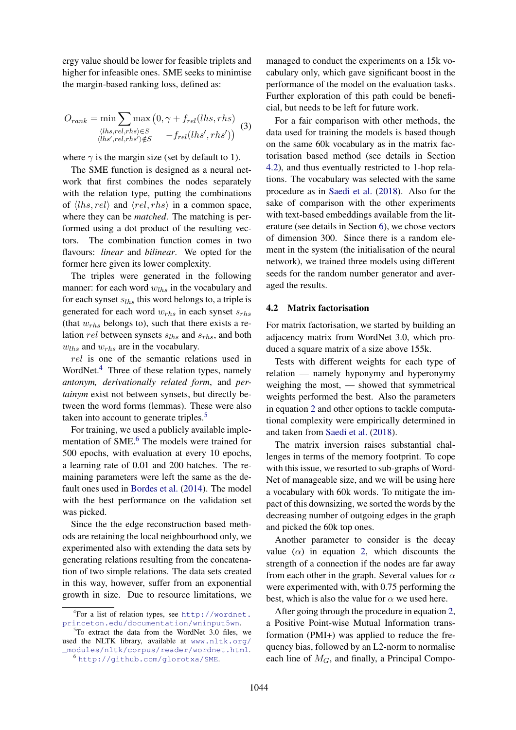ergy value should be lower for feasible triplets and higher for infeasible ones. SME seeks to minimise the margin-based ranking loss, defined as:

$$
O_{rank} = \min \sum_{\langle lhs, rel, rhs \rangle \in S} \max (0, \gamma + f_{rel}(lhs, rhs))
$$
\n
$$
\langle lhs, rel, rhs \rangle \in S \quad -f_{rel}(lhs', rhs')) \quad (3)
$$

where  $\gamma$  is the margin size (set by default to 1).

The SME function is designed as a neural network that first combines the nodes separately with the relation type, putting the combinations of  $\langle lhs, rel \rangle$  and  $\langle rel, rhs \rangle$  in a common space, where they can be *matched*. The matching is performed using a dot product of the resulting vectors. The combination function comes in two flavours: *linear* and *bilinear*. We opted for the former here given its lower complexity.

The triples were generated in the following manner: for each word  $w_{lhs}$  in the vocabulary and for each synset  $s_{lh,s}$  this word belongs to, a triple is generated for each word  $w_{rhs}$  in each synset  $s_{rhs}$ (that  $w_{rhs}$  belongs to), such that there exists a relation rel between synsets  $s_{lhs}$  and  $s_{rhs}$ , and both  $w_{ths}$  and  $w_{ths}$  are in the vocabulary.

rel is one of the semantic relations used in WordNet.<sup>[4](#page-3-0)</sup> Three of these relation types, namely *antonym, derivationally related form*, and *pertainym* exist not between synsets, but directly between the word forms (lemmas). These were also taken into account to generate triples.<sup>[5](#page-3-1)</sup>

For training, we used a publicly available imple-mentation of SME.<sup>[6](#page-3-2)</sup> The models were trained for 500 epochs, with evaluation at every 10 epochs, a learning rate of 0.01 and 200 batches. The remaining parameters were left the same as the default ones used in [Bordes et al.](#page-8-11) [\(2014\)](#page-8-11). The model with the best performance on the validation set was picked.

Since the the edge reconstruction based methods are retaining the local neighbourhood only, we experimented also with extending the data sets by generating relations resulting from the concatenation of two simple relations. The data sets created in this way, however, suffer from an exponential growth in size. Due to resource limitations, we

<span id="page-3-1"></span> $5T_0$  extract the data from the WordNet 3.0 files, we used the NLTK library, available at [www.nltk.org/](www.nltk.org/_modules/nltk/corpus/reader/wordnet.html) [\\_modules/nltk/corpus/reader/wordnet.html](www.nltk.org/_modules/nltk/corpus/reader/wordnet.html).

managed to conduct the experiments on a 15k vocabulary only, which gave significant boost in the performance of the model on the evaluation tasks. Further exploration of this path could be beneficial, but needs to be left for future work.

For a fair comparison with other methods, the data used for training the models is based though on the same 60k vocabulary as in the matrix factorisation based method (see details in Section [4.2\)](#page-3-3), and thus eventually restricted to 1-hop relations. The vocabulary was selected with the same procedure as in [Saedi et al.](#page-9-3) [\(2018\)](#page-9-3). Also for the sake of comparison with the other experiments with text-based embeddings available from the literature (see details in Section [6\)](#page-5-0), we chose vectors of dimension 300. Since there is a random element in the system (the initialisation of the neural network), we trained three models using different seeds for the random number generator and averaged the results.

#### <span id="page-3-3"></span>4.2 Matrix factorisation

For matrix factorisation, we started by building an adjacency matrix from WordNet 3.0, which produced a square matrix of a size above 155k.

Tests with different weights for each type of relation — namely hyponymy and hyperonymy weighing the most, — showed that symmetrical weights performed the best. Also the parameters in equation [2](#page-2-1) and other options to tackle computational complexity were empirically determined in and taken from [Saedi et al.](#page-9-3) [\(2018\)](#page-9-3).

The matrix inversion raises substantial challenges in terms of the memory footprint. To cope with this issue, we resorted to sub-graphs of Word-Net of manageable size, and we will be using here a vocabulary with 60k words. To mitigate the impact of this downsizing, we sorted the words by the decreasing number of outgoing edges in the graph and picked the 60k top ones.

Another parameter to consider is the decay value  $(\alpha)$  in equation [2,](#page-2-1) which discounts the strength of a connection if the nodes are far away from each other in the graph. Several values for  $\alpha$ were experimented with, with 0.75 performing the best, which is also the value for  $\alpha$  we used here.

After going through the procedure in equation [2,](#page-2-1) a Positive Point-wise Mutual Information transformation (PMI+) was applied to reduce the frequency bias, followed by an L2-norm to normalise each line of  $M_G$ , and finally, a Principal Compo-

<span id="page-3-0"></span><sup>4</sup> For a list of relation types, see [http://wordnet.](http://wordnet.princeton.edu/documentation/wninput5wn) [princeton.edu/documentation/wninput5wn](http://wordnet.princeton.edu/documentation/wninput5wn).

<span id="page-3-2"></span><sup>6</sup> <http://github.com/glorotxa/SME>.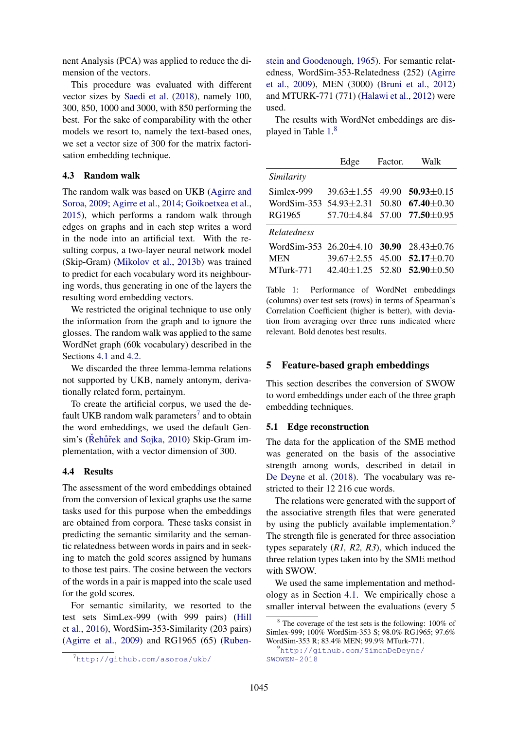nent Analysis (PCA) was applied to reduce the dimension of the vectors.

This procedure was evaluated with different vector sizes by [Saedi et al.](#page-9-3) [\(2018\)](#page-9-3), namely 100, 300, 850, 1000 and 3000, with 850 performing the best. For the sake of comparability with the other models we resort to, namely the text-based ones, we set a vector size of 300 for the matrix factorisation embedding technique.

### <span id="page-4-5"></span>4.3 Random walk

The random walk was based on UKB [\(Agirre and](#page-8-13) [Soroa,](#page-8-13) [2009;](#page-8-13) [Agirre et al.,](#page-8-14) [2014;](#page-8-14) [Goikoetxea et al.,](#page-8-3) [2015\)](#page-8-3), which performs a random walk through edges on graphs and in each step writes a word in the node into an artificial text. With the resulting corpus, a two-layer neural network model (Skip-Gram) [\(Mikolov et al.,](#page-9-15) [2013b\)](#page-9-15) was trained to predict for each vocabulary word its neighbouring words, thus generating in one of the layers the resulting word embedding vectors.

We restricted the original technique to use only the information from the graph and to ignore the glosses. The random walk was applied to the same WordNet graph (60k vocabulary) described in the Sections [4.1](#page-2-2) and [4.2.](#page-3-3)

We discarded the three lemma-lemma relations not supported by UKB, namely antonym, derivationally related form, pertainym.

To create the artificial corpus, we used the de-fault UKB random walk parameters<sup>[7](#page-4-1)</sup> and to obtain the word embeddings, we used the default Gen-sim's (Řehůřek and Sojka, [2010\)](#page-9-16) Skip-Gram implementation, with a vector dimension of 300.

#### 4.4 Results

The assessment of the word embeddings obtained from the conversion of lexical graphs use the same tasks used for this purpose when the embeddings are obtained from corpora. These tasks consist in predicting the semantic similarity and the semantic relatedness between words in pairs and in seeking to match the gold scores assigned by humans to those test pairs. The cosine between the vectors of the words in a pair is mapped into the scale used for the gold scores.

For semantic similarity, we resorted to the test sets SimLex-999 (with 999 pairs) [\(Hill](#page-9-17) [et al.,](#page-9-17) [2016\)](#page-9-17), WordSim-353-Similarity (203 pairs) [\(Agirre et al.,](#page-8-15) [2009\)](#page-8-15) and RG1965 (65) [\(Ruben-](#page-9-18)

[stein and Goodenough,](#page-9-18) [1965\)](#page-9-18). For semantic relatedness, WordSim-353-Relatedness (252) [\(Agirre](#page-8-15) [et al.,](#page-8-15) [2009\)](#page-8-15), MEN (3000) [\(Bruni et al.,](#page-8-16) [2012\)](#page-8-16) and MTURK-771 (771) [\(Halawi et al.,](#page-9-19) [2012\)](#page-9-19) were used.

The results with WordNet embeddings are dis-played in Table [1.](#page-4-2)<sup>[8](#page-4-3)</sup>

<span id="page-4-2"></span>

|                                                     | Edge                   | Factor. | Walk                                      |
|-----------------------------------------------------|------------------------|---------|-------------------------------------------|
| Similarity                                          |                        |         |                                           |
| Simlex-999                                          | 39.63±1.55             |         | 49.90 $50.93 \pm 0.15$                    |
| WordSim-353 54.93 $\pm$ 2.31 50.80 67.40 $\pm$ 0.30 |                        |         |                                           |
| RG1965                                              |                        |         | $57.70 \pm 4.84$ $57.00$ $77.50 \pm 0.95$ |
| Relatedness                                         |                        |         |                                           |
| WordSim-353 $26.20 \pm 4.10$ 30.90                  |                        |         | $28.43 \pm 0.76$                          |
| <b>MEN</b>                                          | $39.67 \pm 2.55$       |         | 45.00 $52.17 \pm 0.70$                    |
| MTurk-771                                           | $42.40 \pm 1.25$ 52.80 |         | $52.90 \pm 0.50$                          |

Table 1: Performance of WordNet embeddings (columns) over test sets (rows) in terms of Spearman's Correlation Coefficient (higher is better), with deviation from averaging over three runs indicated where relevant. Bold denotes best results.

## <span id="page-4-0"></span>5 Feature-based graph embeddings

This section describes the conversion of SWOW to word embeddings under each of the three graph embedding techniques.

#### <span id="page-4-6"></span>5.1 Edge reconstruction

The data for the application of the SME method was generated on the basis of the associative strength among words, described in detail in [De Deyne et al.](#page-8-12) [\(2018\)](#page-8-12). The vocabulary was restricted to their 12 216 cue words.

The relations were generated with the support of the associative strength files that were generated by using the publicly available implementation.<sup>[9](#page-4-4)</sup> The strength file is generated for three association types separately (*R1, R2, R3*), which induced the three relation types taken into by the SME method with SWOW.

We used the same implementation and methodology as in Section [4.1.](#page-2-2) We empirically chose a smaller interval between the evaluations (every 5

<span id="page-4-1"></span><sup>7</sup>[http://github.com/asoroa/ukb/](#page-9-18)

<span id="page-4-3"></span> $8 \text{ The coverage of the test sets is the following: } 100\% \text{ of }$ Simlex-999; 100% WordSim-353 S; 98.0% RG1965; 97.6% WordSim-353 R; 83.4% MEN; 99.9% MTurk-771.

<span id="page-4-4"></span><sup>9</sup>[http://github.com/SimonDeDeyne/](http://github.com/SimonDeDeyne/SWOWEN-2018) [SWOWEN-2018](http://github.com/SimonDeDeyne/SWOWEN-2018)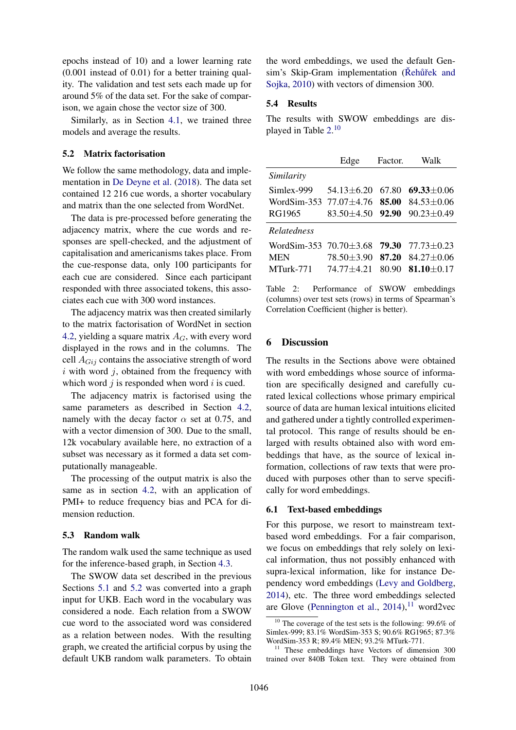epochs instead of 10) and a lower learning rate  $(0.001)$  instead of  $(0.01)$  for a better training quality. The validation and test sets each made up for around 5% of the data set. For the sake of comparison, we again chose the vector size of 300.

Similarly, as in Section [4.1,](#page-2-2) we trained three models and average the results.

## <span id="page-5-1"></span>5.2 Matrix factorisation

We follow the same methodology, data and implementation in [De Deyne et al.](#page-8-12) [\(2018\)](#page-8-12). The data set contained 12 216 cue words, a shorter vocabulary and matrix than the one selected from WordNet.

The data is pre-processed before generating the adjacency matrix, where the cue words and responses are spell-checked, and the adjustment of capitalisation and americanisms takes place. From the cue-response data, only 100 participants for each cue are considered. Since each participant responded with three associated tokens, this associates each cue with 300 word instances.

The adjacency matrix was then created similarly to the matrix factorisation of WordNet in section [4.2,](#page-3-3) yielding a square matrix  $A_G$ , with every word displayed in the rows and in the columns. The cell  $A_{Gi}$  contains the associative strength of word  $i$  with word  $j$ , obtained from the frequency with which word  $j$  is responded when word  $i$  is cued.

The adjacency matrix is factorised using the same parameters as described in Section [4.2,](#page-3-3) namely with the decay factor  $\alpha$  set at 0.75, and with a vector dimension of 300. Due to the small, 12k vocabulary available here, no extraction of a subset was necessary as it formed a data set computationally manageable.

The processing of the output matrix is also the same as in section [4.2,](#page-3-3) with an application of PMI+ to reduce frequency bias and PCA for dimension reduction.

## 5.3 Random walk

The random walk used the same technique as used for the inference-based graph, in Section [4.3.](#page-4-5)

The SWOW data set described in the previous Sections [5.1](#page-4-6) and [5.2](#page-5-1) was converted into a graph input for UKB. Each word in the vocabulary was considered a node. Each relation from a SWOW cue word to the associated word was considered as a relation between nodes. With the resulting graph, we created the artificial corpus by using the default UKB random walk parameters. To obtain the word embeddings, we used the default Gensim's Skip-Gram implementation (Řehůřek and [Sojka,](#page-9-16) [2010\)](#page-9-16) with vectors of dimension 300.

#### 5.4 Results

The results with SWOW embeddings are displayed in Table [2.](#page-5-2) [10](#page-5-3)

<span id="page-5-2"></span>

|                            | Edge             | Factor. | Walk             |
|----------------------------|------------------|---------|------------------|
| Similarity                 |                  |         |                  |
| Simlex-999                 | 54.13+6.20       | 67.80   | $69.33 \pm 0.06$ |
| WordSim-353                | 77.07 $\pm$ 4.76 | 85.00   | $84.53 \pm 0.06$ |
| RG1965                     | $83.50 \pm 4.50$ | 92.90   | $90.23 \pm 0.49$ |
| <b>Relatedness</b>         |                  |         |                  |
| WordSim-353 $70.70 + 3.68$ |                  | 79.30   | $77.73 + 0.23$   |
| <b>MEN</b>                 | 78.50±3.90       | 87.20   | $84.27 \pm 0.06$ |
| MTurk-771                  | $74.77 + 4.21$   | 80.90   | $81.10 + 0.17$   |
|                            |                  |         |                  |

Table 2: Performance of SWOW embeddings (columns) over test sets (rows) in terms of Spearman's Correlation Coefficient (higher is better).

### <span id="page-5-0"></span>6 Discussion

The results in the Sections above were obtained with word embeddings whose source of information are specifically designed and carefully curated lexical collections whose primary empirical source of data are human lexical intuitions elicited and gathered under a tightly controlled experimental protocol. This range of results should be enlarged with results obtained also with word embeddings that have, as the source of lexical information, collections of raw texts that were produced with purposes other than to serve specifically for word embeddings.

#### 6.1 Text-based embeddings

For this purpose, we resort to mainstream textbased word embeddings. For a fair comparison, we focus on embeddings that rely solely on lexical information, thus not possibly enhanced with supra-lexical information, like for instance Dependency word embeddings [\(Levy and Goldberg,](#page-9-20) [2014\)](#page-9-20), etc. The three word embeddings selected are Glove [\(Pennington et al.,](#page-9-1)  $2014$ ), $^{11}$  $^{11}$  $^{11}$  word2vec

<span id="page-5-3"></span><sup>&</sup>lt;sup>10</sup> The coverage of the test sets is the following: 99.6% of Simlex-999; 83.1% WordSim-353 S; 90.6% RG1965; 87.3% WordSim-353 R; 89.4% MEN; 93.2% MTurk-771.

<span id="page-5-4"></span><sup>&</sup>lt;sup>11</sup> These embeddings have Vectors of dimension 300 trained over 840B Token text. They were obtained from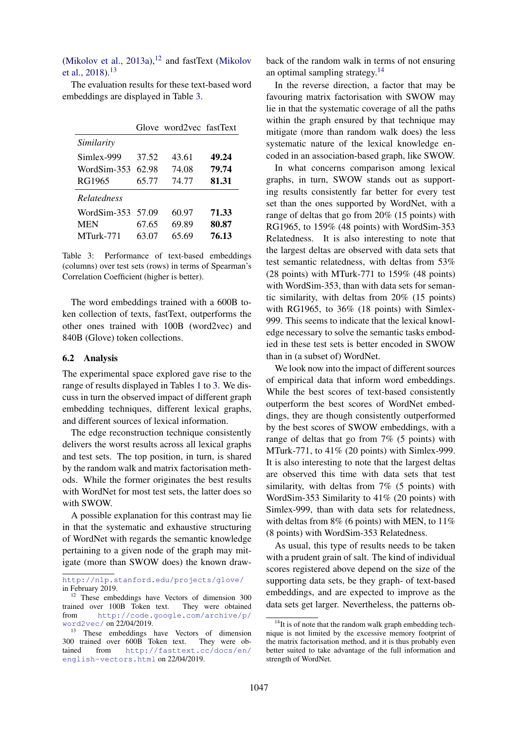[\(Mikolov et al.,](#page-9-0) [2013a\)](#page-9-0), $12$  and fastText [\(Mikolov](#page-9-2) [et al.,](#page-9-2) [2018\)](#page-9-2).[13](#page-6-1)

The evaluation results for these text-based word embeddings are displayed in Table [3.](#page-6-2)

<span id="page-6-2"></span>

|                    |       | Glove word2yec fastText |       |
|--------------------|-------|-------------------------|-------|
| Similarity         |       |                         |       |
| Simlex-999         | 37.52 | 43.61                   | 49.24 |
| WordSim-353        | 62.98 | 74.08                   | 79.74 |
| RG1965             | 65.77 | 74.77                   | 81.31 |
| <i>Relatedness</i> |       |                         |       |
| WordSim-353        | 57.09 | 60.97                   | 71.33 |
| <b>MEN</b>         | 67.65 | 69.89                   | 80.87 |
| MTurk-771          | 63.07 | 65.69                   | 76.13 |

Table 3: Performance of text-based embeddings (columns) over test sets (rows) in terms of Spearman's Correlation Coefficient (higher is better).

The word embeddings trained with a 600B token collection of texts, fastText, outperforms the other ones trained with 100B (word2vec) and 840B (Glove) token collections.

#### 6.2 Analysis

The experimental space explored gave rise to the range of results displayed in Tables [1](#page-4-2) to [3.](#page-6-2) We discuss in turn the observed impact of different graph embedding techniques, different lexical graphs, and different sources of lexical information.

The edge reconstruction technique consistently delivers the worst results across all lexical graphs and test sets. The top position, in turn, is shared by the random walk and matrix factorisation methods. While the former originates the best results with WordNet for most test sets, the latter does so with SWOW.

A possible explanation for this contrast may lie in that the systematic and exhaustive structuring of WordNet with regards the semantic knowledge pertaining to a given node of the graph may mitigate (more than SWOW does) the known drawback of the random walk in terms of not ensuring an optimal sampling strategy.<sup>[14](#page-6-3)</sup>

In the reverse direction, a factor that may be favouring matrix factorisation with SWOW may lie in that the systematic coverage of all the paths within the graph ensured by that technique may mitigate (more than random walk does) the less systematic nature of the lexical knowledge encoded in an association-based graph, like SWOW.

In what concerns comparison among lexical graphs, in turn, SWOW stands out as supporting results consistently far better for every test set than the ones supported by WordNet, with a range of deltas that go from 20% (15 points) with RG1965, to 159% (48 points) with WordSim-353 Relatedness. It is also interesting to note that the largest deltas are observed with data sets that test semantic relatedness, with deltas from 53% (28 points) with MTurk-771 to 159% (48 points) with WordSim-353, than with data sets for semantic similarity, with deltas from 20% (15 points) with RG1965, to 36% (18 points) with Simlex-999. This seems to indicate that the lexical knowledge necessary to solve the semantic tasks embodied in these test sets is better encoded in SWOW than in (a subset of) WordNet.

We look now into the impact of different sources of empirical data that inform word embeddings. While the best scores of text-based consistently outperform the best scores of WordNet embeddings, they are though consistently outperformed by the best scores of SWOW embeddings, with a range of deltas that go from 7% (5 points) with MTurk-771, to 41% (20 points) with Simlex-999. It is also interesting to note that the largest deltas are observed this time with data sets that test similarity, with deltas from 7% (5 points) with WordSim-353 Similarity to 41% (20 points) with Simlex-999, than with data sets for relatedness, with deltas from 8% (6 points) with MEN, to 11% (8 points) with WordSim-353 Relatedness.

As usual, this type of results needs to be taken with a prudent grain of salt. The kind of individual scores registered above depend on the size of the supporting data sets, be they graph- of text-based embeddings, and are expected to improve as the data sets get larger. Nevertheless, the patterns ob-

<http://nlp.stanford.edu/projects/glove/> in February 2019.

<span id="page-6-0"></span><sup>&</sup>lt;sup>12</sup> These embeddings have Vectors of dimension 300 trained over 100B Token text. They were obtained from [http://code.google.com/archive/p/](http://code.google.com/archive/p/word2vec/) [word2vec/](http://code.google.com/archive/p/word2vec/) on 22/04/2019.

<span id="page-6-1"></span><sup>&</sup>lt;sup>13</sup> These embeddings have Vectors of dimension 300 trained over 600B Token text. They were ob-<br>tained from  $h \text{tr} y / \text{fast} + \text{ext}$ , co/doos/en/ from [http://fasttext.cc/docs/en/](http://fasttext.cc/docs/en/english-vectors.html) [english-vectors.html](http://fasttext.cc/docs/en/english-vectors.html) on 22/04/2019.

<span id="page-6-3"></span> $14$ It is of note that the random walk graph embedding technique is not limited by the excessive memory footprint of the matrix factorisation method, and it is thus probably even better suited to take advantage of the full information and strength of WordNet.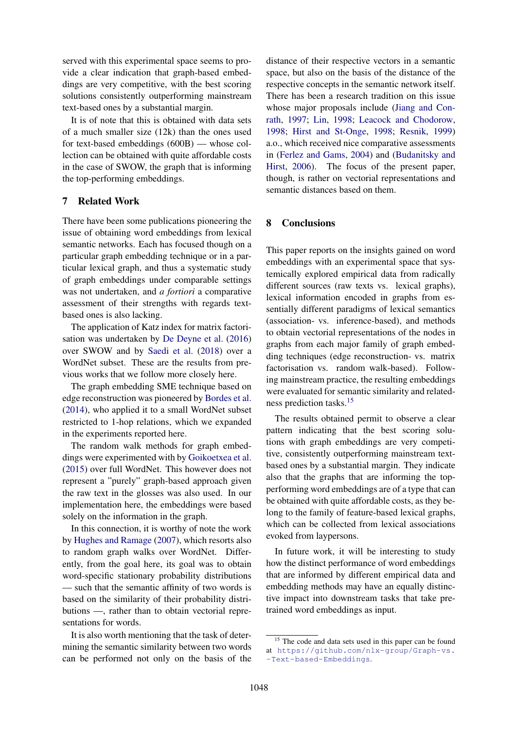served with this experimental space seems to provide a clear indication that graph-based embeddings are very competitive, with the best scoring solutions consistently outperforming mainstream text-based ones by a substantial margin.

It is of note that this is obtained with data sets of a much smaller size (12k) than the ones used for text-based embeddings (600B) — whose collection can be obtained with quite affordable costs in the case of SWOW, the graph that is informing the top-performing embeddings.

# <span id="page-7-0"></span>7 Related Work

There have been some publications pioneering the issue of obtaining word embeddings from lexical semantic networks. Each has focused though on a particular graph embedding technique or in a particular lexical graph, and thus a systematic study of graph embeddings under comparable settings was not undertaken, and *a fortiori* a comparative assessment of their strengths with regards textbased ones is also lacking.

The application of Katz index for matrix factorisation was undertaken by [De Deyne et al.](#page-8-17) [\(2016\)](#page-8-17) over SWOW and by [Saedi et al.](#page-9-3) [\(2018\)](#page-9-3) over a WordNet subset. These are the results from previous works that we follow more closely here.

The graph embedding SME technique based on edge reconstruction was pioneered by [Bordes et al.](#page-8-11) [\(2014\)](#page-8-11), who applied it to a small WordNet subset restricted to 1-hop relations, which we expanded in the experiments reported here.

The random walk methods for graph embeddings were experimented with by [Goikoetxea et al.](#page-8-3) [\(2015\)](#page-8-3) over full WordNet. This however does not represent a "purely" graph-based approach given the raw text in the glosses was also used. In our implementation here, the embeddings were based solely on the information in the graph.

In this connection, it is worthy of note the work by [Hughes and Ramage](#page-9-21) [\(2007\)](#page-9-21), which resorts also to random graph walks over WordNet. Differently, from the goal here, its goal was to obtain word-specific stationary probability distributions — such that the semantic affinity of two words is based on the similarity of their probability distributions —, rather than to obtain vectorial representations for words.

It is also worth mentioning that the task of determining the semantic similarity between two words can be performed not only on the basis of the

distance of their respective vectors in a semantic space, but also on the basis of the distance of the respective concepts in the semantic network itself. There has been a research tradition on this issue whose major proposals include [\(Jiang and Con](#page-9-22)[rath,](#page-9-22) [1997;](#page-9-22) [Lin,](#page-9-23) [1998;](#page-9-23) [Leacock and Chodorow,](#page-9-24) [1998;](#page-9-24) [Hirst and St-Onge,](#page-9-25) [1998;](#page-9-25) [Resnik,](#page-9-26) [1999\)](#page-9-26) a.o., which received nice comparative assessments in [\(Ferlez and Gams,](#page-8-18) [2004\)](#page-8-18) and [\(Budanitsky and](#page-8-19) [Hirst,](#page-8-19) [2006\)](#page-8-19). The focus of the present paper, though, is rather on vectorial representations and semantic distances based on them.

# <span id="page-7-1"></span>8 Conclusions

This paper reports on the insights gained on word embeddings with an experimental space that systemically explored empirical data from radically different sources (raw texts vs. lexical graphs), lexical information encoded in graphs from essentially different paradigms of lexical semantics (association- vs. inference-based), and methods to obtain vectorial representations of the nodes in graphs from each major family of graph embedding techniques (edge reconstruction- vs. matrix factorisation vs. random walk-based). Following mainstream practice, the resulting embeddings were evaluated for semantic similarity and relatedness prediction tasks.[15](#page-7-2)

The results obtained permit to observe a clear pattern indicating that the best scoring solutions with graph embeddings are very competitive, consistently outperforming mainstream textbased ones by a substantial margin. They indicate also that the graphs that are informing the topperforming word embeddings are of a type that can be obtained with quite affordable costs, as they belong to the family of feature-based lexical graphs, which can be collected from lexical associations evoked from laypersons.

In future work, it will be interesting to study how the distinct performance of word embeddings that are informed by different empirical data and embedding methods may have an equally distinctive impact into downstream tasks that take pretrained word embeddings as input.

<span id="page-7-2"></span><sup>&</sup>lt;sup>15</sup> The code and data sets used in this paper can be found at [https://github.com/nlx-group/Graph-vs.](https://github.com/nlx-group/Graph-vs.-Text-based-Embeddings) [-Text-based-Embeddings](https://github.com/nlx-group/Graph-vs.-Text-based-Embeddings).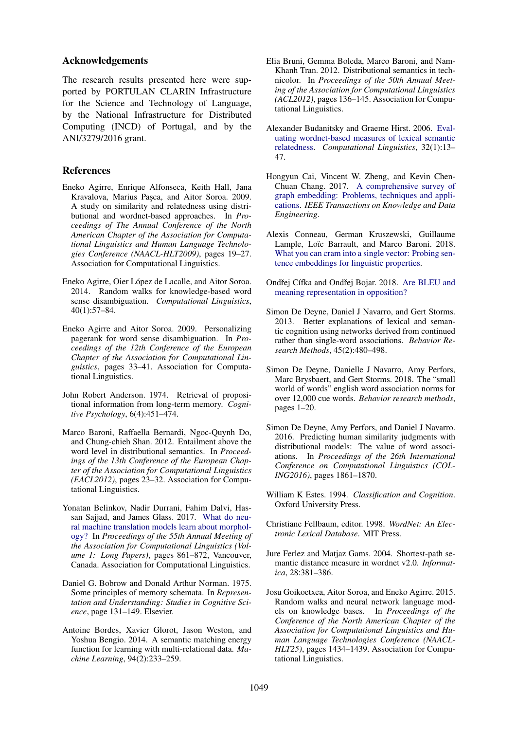#### Acknowledgements

The research results presented here were supported by PORTULAN CLARIN Infrastructure for the Science and Technology of Language, by the National Infrastructure for Distributed Computing (INCD) of Portugal, and by the ANI/3279/2016 grant.

## **References**

- <span id="page-8-15"></span>Eneko Agirre, Enrique Alfonseca, Keith Hall, Jana Kravalova, Marius Pasca, and Aitor Soroa. 2009. A study on similarity and relatedness using distributional and wordnet-based approaches. In *Proceedings of The Annual Conference of the North American Chapter of the Association for Computational Linguistics and Human Language Technologies Conference (NAACL-HLT2009)*, pages 19–27. Association for Computational Linguistics.
- <span id="page-8-14"></span>Eneko Agirre, Oier López de Lacalle, and Aitor Soroa. 2014. Random walks for knowledge-based word sense disambiguation. *Computational Linguistics*, 40(1):57–84.
- <span id="page-8-13"></span>Eneko Agirre and Aitor Soroa. 2009. Personalizing pagerank for word sense disambiguation. In *Proceedings of the 12th Conference of the European Chapter of the Association for Computational Linguistics*, pages 33–41. Association for Computational Linguistics.
- <span id="page-8-5"></span>John Robert Anderson. 1974. Retrieval of propositional information from long-term memory. *Cognitive Psychology*, 6(4):451–474.
- <span id="page-8-9"></span>Marco Baroni, Raffaella Bernardi, Ngoc-Quynh Do, and Chung-chieh Shan. 2012. Entailment above the word level in distributional semantics. In *Proceedings of the 13th Conference of the European Chapter of the Association for Computational Linguistics (EACL2012)*, pages 23–32. Association for Computational Linguistics.
- <span id="page-8-0"></span>Yonatan Belinkov, Nadir Durrani, Fahim Dalvi, Hassan Sajjad, and James Glass. 2017. [What do neu](https://doi.org/10.18653/v1/P17-1080)[ral machine translation models learn about morphol](https://doi.org/10.18653/v1/P17-1080)[ogy?](https://doi.org/10.18653/v1/P17-1080) In *Proceedings of the 55th Annual Meeting of the Association for Computational Linguistics (Volume 1: Long Papers)*, pages 861–872, Vancouver, Canada. Association for Computational Linguistics.
- <span id="page-8-4"></span>Daniel G. Bobrow and Donald Arthur Norman. 1975. Some principles of memory schemata. In *Representation and Understanding: Studies in Cognitive Science*, page 131–149. Elsevier.
- <span id="page-8-11"></span>Antoine Bordes, Xavier Glorot, Jason Weston, and Yoshua Bengio. 2014. A semantic matching energy function for learning with multi-relational data. *Machine Learning*, 94(2):233–259.
- <span id="page-8-16"></span>Elia Bruni, Gemma Boleda, Marco Baroni, and Nam-Khanh Tran. 2012. Distributional semantics in technicolor. In *Proceedings of the 50th Annual Meeting of the Association for Computational Linguistics (ACL2012)*, pages 136–145. Association for Computational Linguistics.
- <span id="page-8-19"></span>Alexander Budanitsky and Graeme Hirst. 2006. [Eval](https://doi.org/10.1162/coli.2006.32.1.13)[uating wordnet-based measures of lexical semantic](https://doi.org/10.1162/coli.2006.32.1.13) [relatedness.](https://doi.org/10.1162/coli.2006.32.1.13) *Computational Linguistics*, 32(1):13– 47.
- <span id="page-8-10"></span>Hongyun Cai, Vincent W. Zheng, and Kevin Chen-Chuan Chang. 2017. [A comprehensive survey of](https://doi.org/10.1109/TKDE.2018.2807452) [graph embedding: Problems, techniques and appli](https://doi.org/10.1109/TKDE.2018.2807452)[cations.](https://doi.org/10.1109/TKDE.2018.2807452) *IEEE Transactions on Knowledge and Data Engineering*.
- <span id="page-8-1"></span>Alexis Conneau, German Kruszewski, Guillaume Lample, Loïc Barrault, and Marco Baroni. 2018. [What you can cram into a single vector: Probing sen](http://arxiv.org/abs/1805.01070)[tence embeddings for linguistic properties.](http://arxiv.org/abs/1805.01070)
- <span id="page-8-2"></span>Ondřej Cífka and Ondřej Bojar. 2018. [Are BLEU and](http://arxiv.org/abs/1805.06536) [meaning representation in opposition?](http://arxiv.org/abs/1805.06536)
- <span id="page-8-8"></span>Simon De Deyne, Daniel J Navarro, and Gert Storms. 2013. Better explanations of lexical and semantic cognition using networks derived from continued rather than single-word associations. *Behavior Research Methods*, 45(2):480–498.
- <span id="page-8-12"></span>Simon De Deyne, Danielle J Navarro, Amy Perfors, Marc Brysbaert, and Gert Storms. 2018. The "small world of words" english word association norms for over 12,000 cue words. *Behavior research methods*, pages 1–20.
- <span id="page-8-17"></span>Simon De Deyne, Amy Perfors, and Daniel J Navarro. 2016. Predicting human similarity judgments with distributional models: The value of word associations. In *Proceedings of the 26th International Conference on Computational Linguistics (COL-ING2016)*, pages 1861–1870.
- <span id="page-8-6"></span>William K Estes. 1994. *Classification and Cognition*. Oxford University Press.
- <span id="page-8-7"></span>Christiane Fellbaum, editor. 1998. *WordNet: An Electronic Lexical Database*. MIT Press.
- <span id="page-8-18"></span>Jure Ferlez and Matjaz Gams. 2004. Shortest-path semantic distance measure in wordnet v2.0. *Informatica*, 28:381–386.
- <span id="page-8-3"></span>Josu Goikoetxea, Aitor Soroa, and Eneko Agirre. 2015. Random walks and neural network language models on knowledge bases. In *Proceedings of the Conference of the North American Chapter of the Association for Computational Linguistics and Human Language Technologies Conference (NAACL-HLT25)*, pages 1434–1439. Association for Computational Linguistics.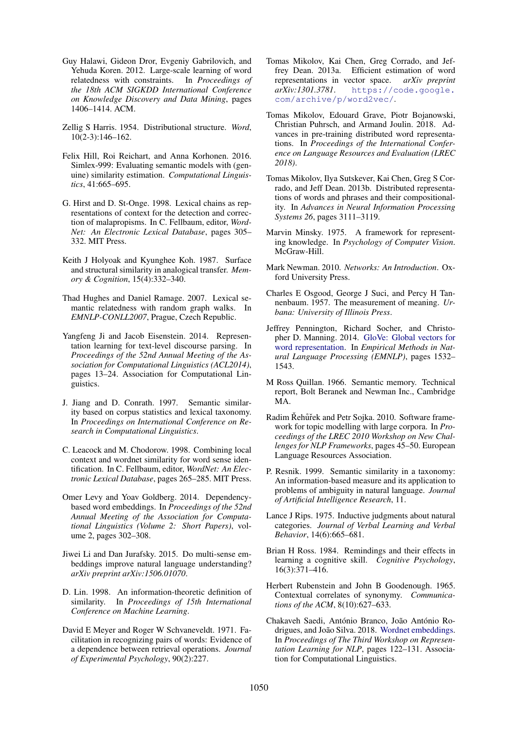- <span id="page-9-19"></span>Guy Halawi, Gideon Dror, Evgeniy Gabrilovich, and Yehuda Koren. 2012. Large-scale learning of word relatedness with constraints. In *Proceedings of the 18th ACM SIGKDD International Conference on Knowledge Discovery and Data Mining*, pages 1406–1414. ACM.
- <span id="page-9-4"></span>Zellig S Harris. 1954. Distributional structure. *Word*, 10(2-3):146–162.
- <span id="page-9-17"></span>Felix Hill, Roi Reichart, and Anna Korhonen. 2016. Simlex-999: Evaluating semantic models with (genuine) similarity estimation. *Computational Linguistics*, 41:665–695.
- <span id="page-9-25"></span>G. Hirst and D. St-Onge. 1998. Lexical chains as representations of context for the detection and correction of malapropisms. In C. Fellbaum, editor, *Word-Net: An Electronic Lexical Database*, pages 305– 332. MIT Press.
- <span id="page-9-10"></span>Keith J Holyoak and Kyunghee Koh. 1987. Surface and structural similarity in analogical transfer. *Memory & Cognition*, 15(4):332–340.
- <span id="page-9-21"></span>Thad Hughes and Daniel Ramage. 2007. Lexical semantic relatedness with random graph walks. In *EMNLP-CONLL2007*, Prague, Czech Republic.
- <span id="page-9-13"></span>Yangfeng Ji and Jacob Eisenstein. 2014. Representation learning for text-level discourse parsing. In *Proceedings of the 52nd Annual Meeting of the Association for Computational Linguistics (ACL2014)*, pages 13–24. Association for Computational Linguistics.
- <span id="page-9-22"></span>J. Jiang and D. Conrath. 1997. Semantic similarity based on corpus statistics and lexical taxonomy. In *Proceedings on International Conference on Research in Computational Linguistics*.
- <span id="page-9-24"></span>C. Leacock and M. Chodorow. 1998. Combining local context and wordnet similarity for word sense identification. In C. Fellbaum, editor, *WordNet: An Electronic Lexical Database*, pages 265–285. MIT Press.
- <span id="page-9-20"></span>Omer Levy and Yoav Goldberg. 2014. Dependencybased word embeddings. In *Proceedings of the 52nd Annual Meeting of the Association for Computational Linguistics (Volume 2: Short Papers)*, volume 2, pages 302–308.
- <span id="page-9-12"></span>Jiwei Li and Dan Jurafsky. 2015. Do multi-sense embeddings improve natural language understanding? *arXiv preprint arXiv:1506.01070*.
- <span id="page-9-23"></span>D. Lin. 1998. An information-theoretic definition of similarity. In *Proceedings of 15th International Conference on Machine Learning*.
- <span id="page-9-8"></span>David E Meyer and Roger W Schvaneveldt. 1971. Facilitation in recognizing pairs of words: Evidence of a dependence between retrieval operations. *Journal of Experimental Psychology*, 90(2):227.
- <span id="page-9-0"></span>Tomas Mikolov, Kai Chen, Greg Corrado, and Jeffrey Dean. 2013a. Efficient estimation of word representations in vector space. *arXiv preprint arXiv:1301.3781*. [https://code.google.](https://code.google.com/archive/p/word2vec/) [com/archive/p/word2vec/](https://code.google.com/archive/p/word2vec/).
- <span id="page-9-2"></span>Tomas Mikolov, Edouard Grave, Piotr Bojanowski, Christian Puhrsch, and Armand Joulin. 2018. Advances in pre-training distributed word representations. In *Proceedings of the International Conference on Language Resources and Evaluation (LREC 2018)*.
- <span id="page-9-15"></span>Tomas Mikolov, Ilya Sutskever, Kai Chen, Greg S Corrado, and Jeff Dean. 2013b. Distributed representations of words and phrases and their compositionality. In *Advances in Neural Information Processing Systems 26*, pages 3111–3119.
- <span id="page-9-7"></span>Marvin Minsky. 1975. A framework for representing knowledge. In *Psychology of Computer Vision*. McGraw-Hill.
- <span id="page-9-14"></span>Mark Newman. 2010. *Networks: An Introduction*. Oxford University Press.
- <span id="page-9-5"></span>Charles E Osgood, George J Suci, and Percy H Tannenbaum. 1957. The measurement of meaning. *Urbana: University of Illinois Press*.
- <span id="page-9-1"></span>Jeffrey Pennington, Richard Socher, and Christopher D. Manning. 2014. [GloVe: Global vectors for](http://www.aclweb.org/anthology/D14-1162) [word representation.](http://www.aclweb.org/anthology/D14-1162) In *Empirical Methods in Natural Language Processing (EMNLP)*, pages 1532– 1543.
- <span id="page-9-6"></span>M Ross Quillan. 1966. Semantic memory. Technical report, Bolt Beranek and Newman Inc., Cambridge MA.
- <span id="page-9-16"></span>Radim Řehůřek and Petr Sojka. 2010. Software framework for topic modelling with large corpora. In *Proceedings of the LREC 2010 Workshop on New Challenges for NLP Frameworks*, pages 45–50. European Language Resources Association.
- <span id="page-9-26"></span>P. Resnik. 1999. Semantic similarity in a taxonomy: An information-based measure and its application to problems of ambiguity in natural language. *Journal of Artificial Intelligence Research*, 11.
- <span id="page-9-9"></span>Lance J Rips. 1975. Inductive judgments about natural categories. *Journal of Verbal Learning and Verbal Behavior*, 14(6):665–681.
- <span id="page-9-11"></span>Brian H Ross. 1984. Remindings and their effects in learning a cognitive skill. *Cognitive Psychology*, 16(3):371–416.
- <span id="page-9-18"></span>Herbert Rubenstein and John B Goodenough. 1965. Contextual correlates of synonymy. *Communications of the ACM*, 8(10):627–633.
- <span id="page-9-3"></span>Chakaveh Saedi, António Branco, João António Ro-drigues, and João Silva. 2018. [Wordnet embeddings.](http://aclweb.org/anthology/W18-3016) In *Proceedings of The Third Workshop on Representation Learning for NLP*, pages 122–131. Association for Computational Linguistics.